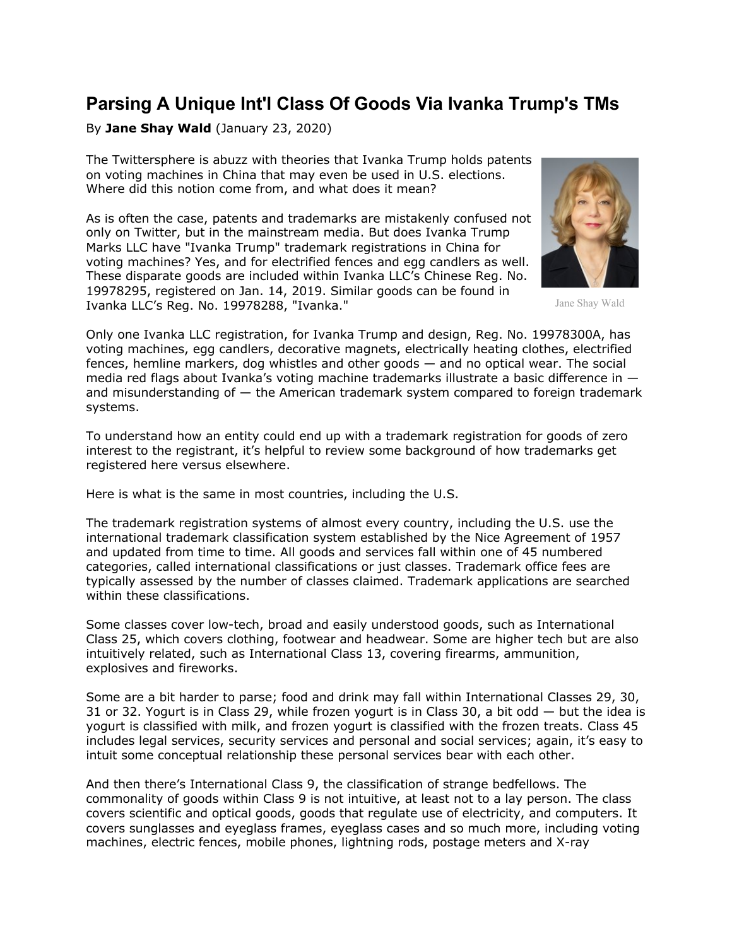## **Parsing A Unique Int'l Class Of Goods Via Ivanka Trump's TMs**

By **Jane Shay Wald** (January 23, 2020)

The Twittersphere is abuzz with theories that Ivanka Trump holds patents on voting machines in China that may even be used in U.S. elections. Where did this notion come from, and what does it mean?

As is often the case, patents and trademarks are mistakenly confused not only on Twitter, but in the mainstream media. But does Ivanka Trump Marks LLC have "Ivanka Trump" trademark registrations in China for voting machines? Yes, and for electrified fences and egg candlers as well. These disparate goods are included within Ivanka LLC's Chinese Reg. No. 19978295, registered on Jan. 14, 2019. Similar goods can be found in Ivanka LLC's Reg. No. 19978288, "Ivanka."



Jane Shay Wald

Only one Ivanka LLC registration, for Ivanka Trump and design, Reg. No. 19978300A, has voting machines, egg candlers, decorative magnets, electrically heating clothes, electrified fences, hemline markers, dog whistles and other goods — and no optical wear. The social media red flags about Ivanka's voting machine trademarks illustrate a basic difference in and misunderstanding of  $-$  the American trademark system compared to foreign trademark systems.

To understand how an entity could end up with a trademark registration for goods of zero interest to the registrant, it's helpful to review some background of how trademarks get registered here versus elsewhere.

Here is what is the same in most countries, including the U.S.

The trademark registration systems of almost every country, including the U.S. use the international trademark classification system established by the Nice Agreement of 1957 and updated from time to time. All goods and services fall within one of 45 numbered categories, called international classifications or just classes. Trademark office fees are typically assessed by the number of classes claimed. Trademark applications are searched within these classifications.

Some classes cover low-tech, broad and easily understood goods, such as International Class 25, which covers clothing, footwear and headwear. Some are higher tech but are also intuitively related, such as International Class 13, covering firearms, ammunition, explosives and fireworks.

Some are a bit harder to parse; food and drink may fall within International Classes 29, 30, 31 or 32. Yogurt is in Class 29, while frozen yogurt is in Class 30, a bit odd — but the idea is yogurt is classified with milk, and frozen yogurt is classified with the frozen treats. Class 45 includes legal services, security services and personal and social services; again, it's easy to intuit some conceptual relationship these personal services bear with each other.

And then there's International Class 9, the classification of strange bedfellows. The commonality of goods within Class 9 is not intuitive, at least not to a lay person. The class covers scientific and optical goods, goods that regulate use of electricity, and computers. It covers sunglasses and eyeglass frames, eyeglass cases and so much more, including voting machines, electric fences, mobile phones, lightning rods, postage meters and X-ray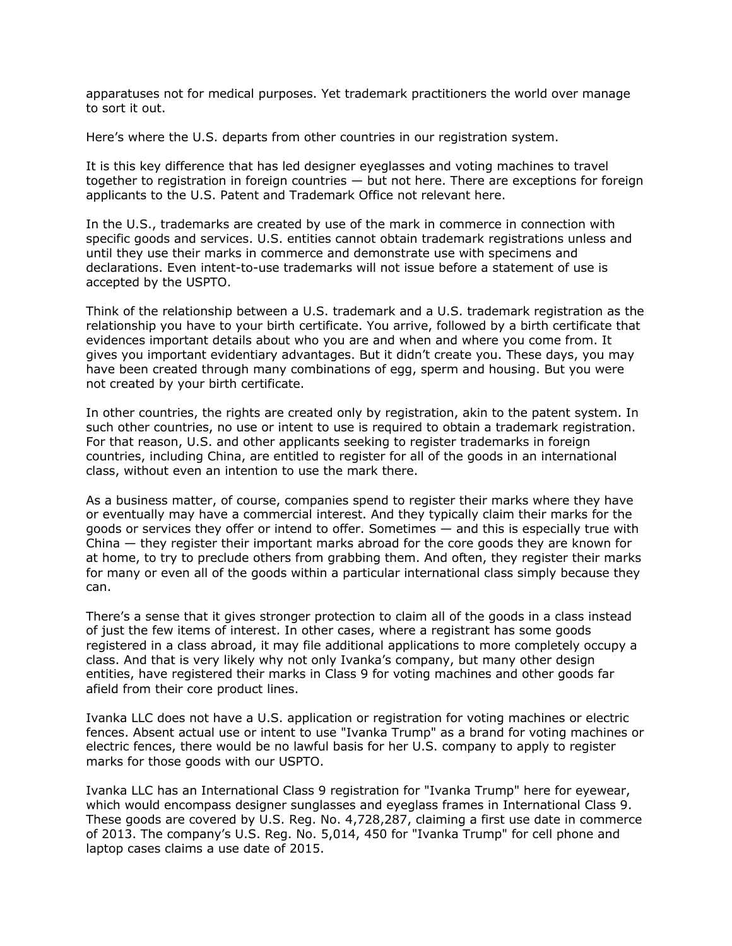apparatuses not for medical purposes. Yet trademark practitioners the world over manage to sort it out.

Here's where the U.S. departs from other countries in our registration system.

It is this key difference that has led designer eyeglasses and voting machines to travel together to registration in foreign countries — but not here. There are exceptions for foreign applicants to the U.S. Patent and Trademark Office not relevant here.

In the U.S., trademarks are created by use of the mark in commerce in connection with specific goods and services. U.S. entities cannot obtain trademark registrations unless and until they use their marks in commerce and demonstrate use with specimens and declarations. Even intent-to-use trademarks will not issue before a statement of use is accepted by the USPTO.

Think of the relationship between a U.S. trademark and a U.S. trademark registration as the relationship you have to your birth certificate. You arrive, followed by a birth certificate that evidences important details about who you are and when and where you come from. It gives you important evidentiary advantages. But it didn't create you. These days, you may have been created through many combinations of egg, sperm and housing. But you were not created by your birth certificate.

In other countries, the rights are created only by registration, akin to the patent system. In such other countries, no use or intent to use is required to obtain a trademark registration. For that reason, U.S. and other applicants seeking to register trademarks in foreign countries, including China, are entitled to register for all of the goods in an international class, without even an intention to use the mark there.

As a business matter, of course, companies spend to register their marks where they have or eventually may have a commercial interest. And they typically claim their marks for the goods or services they offer or intend to offer. Sometimes — and this is especially true with China — they register their important marks abroad for the core goods they are known for at home, to try to preclude others from grabbing them. And often, they register their marks for many or even all of the goods within a particular international class simply because they can.

There's a sense that it gives stronger protection to claim all of the goods in a class instead of just the few items of interest. In other cases, where a registrant has some goods registered in a class abroad, it may file additional applications to more completely occupy a class. And that is very likely why not only Ivanka's company, but many other design entities, have registered their marks in Class 9 for voting machines and other goods far afield from their core product lines.

Ivanka LLC does not have a U.S. application or registration for voting machines or electric fences. Absent actual use or intent to use "Ivanka Trump" as a brand for voting machines or electric fences, there would be no lawful basis for her U.S. company to apply to register marks for those goods with our USPTO.

Ivanka LLC has an International Class 9 registration for "Ivanka Trump" here for eyewear, which would encompass designer sunglasses and eyeglass frames in International Class 9. These goods are covered by U.S. Reg. No. 4,728,287, claiming a first use date in commerce of 2013. The company's U.S. Reg. No. 5,014, 450 for "Ivanka Trump" for cell phone and laptop cases claims a use date of 2015.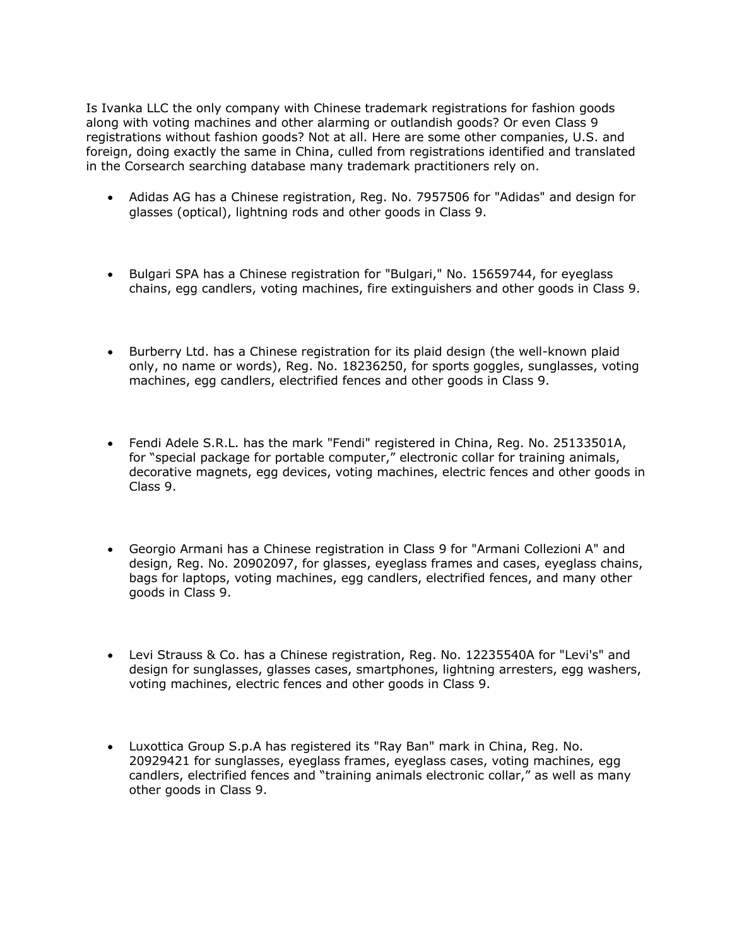Is Ivanka LLC the only company with Chinese trademark registrations for fashion goods along with voting machines and other alarming or outlandish goods? Or even Class 9 registrations without fashion goods? Not at all. Here are some other companies, U.S. and foreign, doing exactly the same in China, culled from registrations identified and translated in the Corsearch searching database many trademark practitioners rely on.

- Adidas AG has a Chinese registration, Reg. No. 7957506 for "Adidas" and design for glasses (optical), lightning rods and other goods in Class 9.
- Bulgari SPA has a Chinese registration for "Bulgari," No. 15659744, for eyeglass chains, egg candlers, voting machines, fire extinguishers and other goods in Class 9.
- Burberry Ltd. has a Chinese registration for its plaid design (the well-known plaid only, no name or words), Reg. No. 18236250, for sports goggles, sunglasses, voting machines, egg candlers, electrified fences and other goods in Class 9.
- Fendi Adele S.R.L. has the mark "Fendi" registered in China, Reg. No. 25133501A, for "special package for portable computer," electronic collar for training animals, decorative magnets, egg devices, voting machines, electric fences and other goods in Class 9.
- Georgio Armani has a Chinese registration in Class 9 for "Armani Collezioni A" and design, Reg. No. 20902097, for glasses, eyeglass frames and cases, eyeglass chains, bags for laptops, voting machines, egg candlers, electrified fences, and many other goods in Class 9.
- Levi Strauss & Co. has a Chinese registration, Reg. No. 12235540A for "Levi's" and design for sunglasses, glasses cases, smartphones, lightning arresters, egg washers, voting machines, electric fences and other goods in Class 9.
- Luxottica Group S.p.A has registered its "Ray Ban" mark in China, Reg. No. 20929421 for sunglasses, eyeglass frames, eyeglass cases, voting machines, egg candlers, electrified fences and "training animals electronic collar," as well as many other goods in Class 9.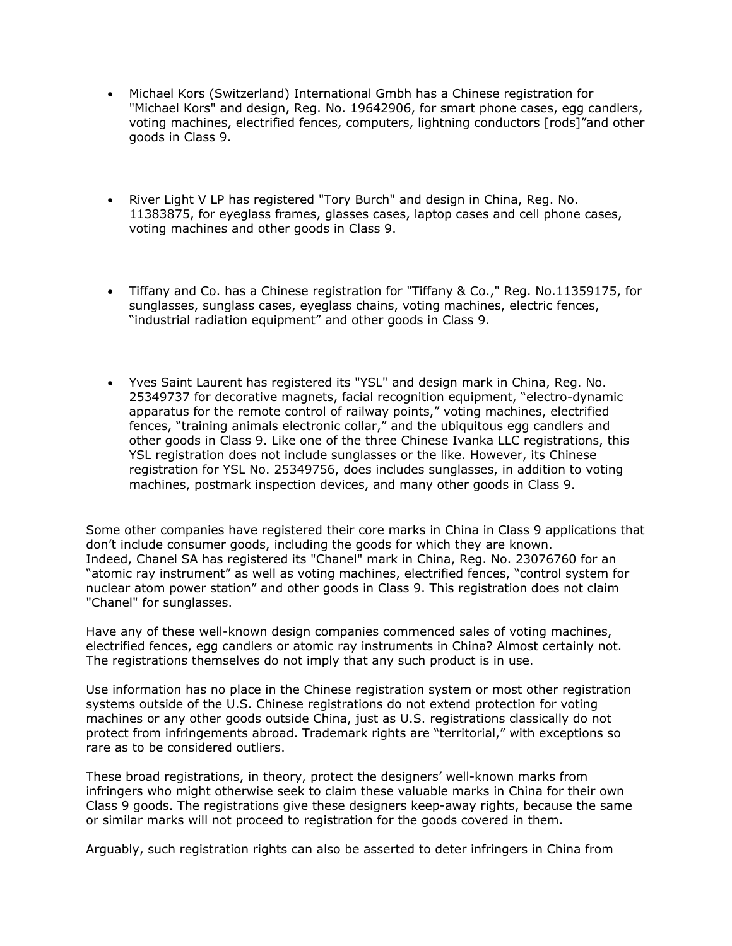- Michael Kors (Switzerland) International Gmbh has a Chinese registration for "Michael Kors" and design, Reg. No. 19642906, for smart phone cases, egg candlers, voting machines, electrified fences, computers, lightning conductors [rods]"and other goods in Class 9.
- River Light V LP has registered "Tory Burch" and design in China, Reg. No. 11383875, for eyeglass frames, glasses cases, laptop cases and cell phone cases, voting machines and other goods in Class 9.
- Tiffany and Co. has a Chinese registration for "Tiffany & Co.," Reg. No.11359175, for sunglasses, sunglass cases, eyeglass chains, voting machines, electric fences, "industrial radiation equipment" and other goods in Class 9.
- Yves Saint Laurent has registered its "YSL" and design mark in China, Reg. No. 25349737 for decorative magnets, facial recognition equipment, "electro-dynamic apparatus for the remote control of railway points," voting machines, electrified fences, "training animals electronic collar," and the ubiquitous egg candlers and other goods in Class 9. Like one of the three Chinese Ivanka LLC registrations, this YSL registration does not include sunglasses or the like. However, its Chinese registration for YSL No. 25349756, does includes sunglasses, in addition to voting machines, postmark inspection devices, and many other goods in Class 9.

Some other companies have registered their core marks in China in Class 9 applications that don't include consumer goods, including the goods for which they are known. Indeed, Chanel SA has registered its "Chanel" mark in China, Reg. No. 23076760 for an "atomic ray instrument" as well as voting machines, electrified fences, "control system for nuclear atom power station" and other goods in Class 9. This registration does not claim "Chanel" for sunglasses.

Have any of these well-known design companies commenced sales of voting machines, electrified fences, egg candlers or atomic ray instruments in China? Almost certainly not. The registrations themselves do not imply that any such product is in use.

Use information has no place in the Chinese registration system or most other registration systems outside of the U.S. Chinese registrations do not extend protection for voting machines or any other goods outside China, just as U.S. registrations classically do not protect from infringements abroad. Trademark rights are "territorial," with exceptions so rare as to be considered outliers.

These broad registrations, in theory, protect the designers' well-known marks from infringers who might otherwise seek to claim these valuable marks in China for their own Class 9 goods. The registrations give these designers keep-away rights, because the same or similar marks will not proceed to registration for the goods covered in them.

Arguably, such registration rights can also be asserted to deter infringers in China from